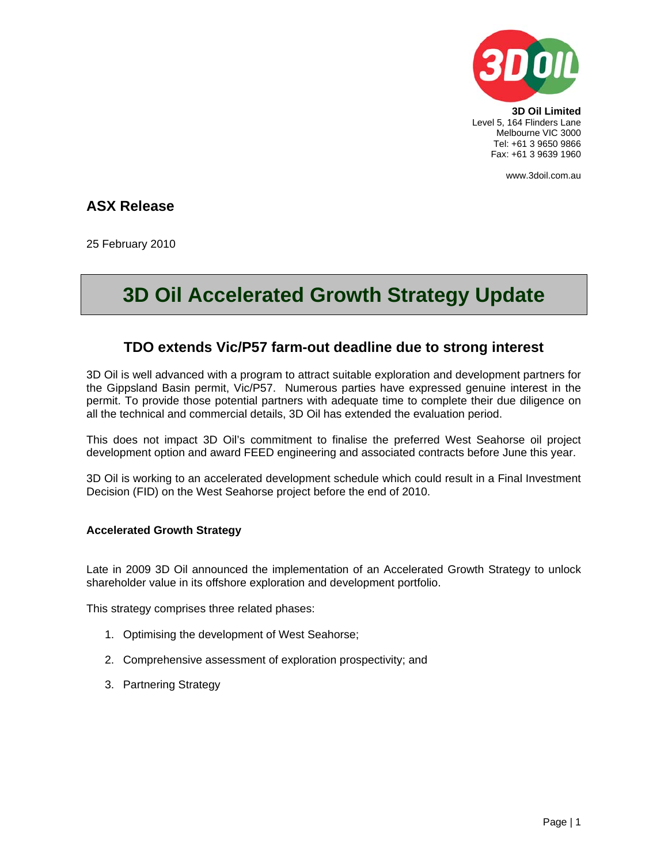

**3D Oil Limited**  Level 5, 164 Flinders Lane Melbourne VIC 3000 Tel: +61 3 9650 9866 Fax: +61 3 9639 1960

www.3doil.com.au

# **ASX Release**

25 February 2010

# **3D Oil Accelerated Growth Strategy Update**

# **TDO extends Vic/P57 farm-out deadline due to strong interest**

3D Oil is well advanced with a program to attract suitable exploration and development partners for the Gippsland Basin permit, Vic/P57. Numerous parties have expressed genuine interest in the permit. To provide those potential partners with adequate time to complete their due diligence on all the technical and commercial details, 3D Oil has extended the evaluation period.

This does not impact 3D Oil's commitment to finalise the preferred West Seahorse oil project development option and award FEED engineering and associated contracts before June this year.

3D Oil is working to an accelerated development schedule which could result in a Final Investment Decision (FID) on the West Seahorse project before the end of 2010.

#### **Accelerated Growth Strategy**

Late in 2009 3D Oil announced the implementation of an Accelerated Growth Strategy to unlock shareholder value in its offshore exploration and development portfolio.

This strategy comprises three related phases:

- 1. Optimising the development of West Seahorse;
- 2. Comprehensive assessment of exploration prospectivity; and
- 3. Partnering Strategy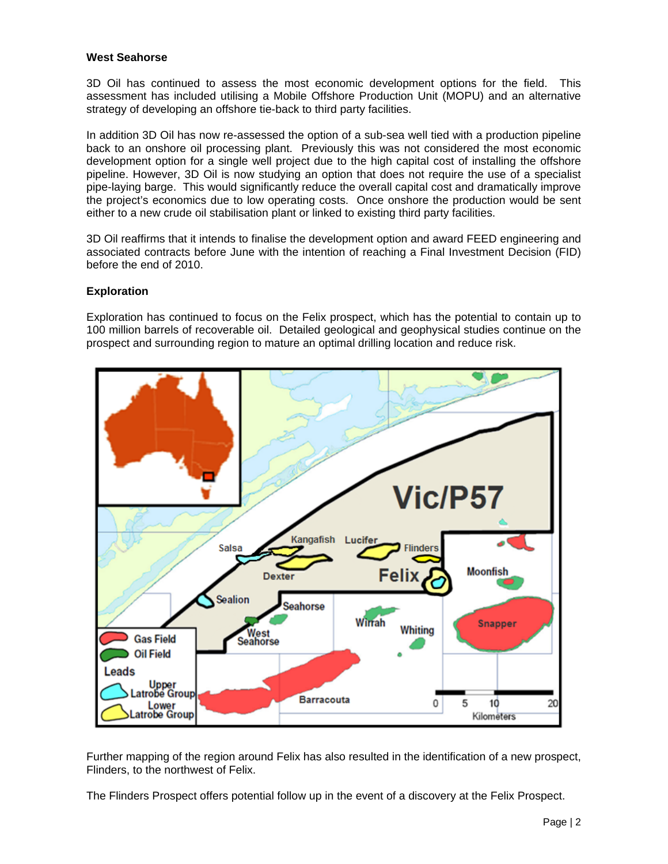## **West Seahorse**

3D Oil has continued to assess the most economic development options for the field. This assessment has included utilising a Mobile Offshore Production Unit (MOPU) and an alternative strategy of developing an offshore tie-back to third party facilities.

In addition 3D Oil has now re-assessed the option of a sub-sea well tied with a production pipeline back to an onshore oil processing plant. Previously this was not considered the most economic development option for a single well project due to the high capital cost of installing the offshore pipeline. However, 3D Oil is now studying an option that does not require the use of a specialist pipe-laying barge. This would significantly reduce the overall capital cost and dramatically improve the project's economics due to low operating costs. Once onshore the production would be sent either to a new crude oil stabilisation plant or linked to existing third party facilities.

3D Oil reaffirms that it intends to finalise the development option and award FEED engineering and associated contracts before June with the intention of reaching a Final Investment Decision (FID) before the end of 2010.

### **Exploration**

Exploration has continued to focus on the Felix prospect, which has the potential to contain up to 100 million barrels of recoverable oil. Detailed geological and geophysical studies continue on the prospect and surrounding region to mature an optimal drilling location and reduce risk.



Further mapping of the region around Felix has also resulted in the identification of a new prospect, Flinders, to the northwest of Felix.

The Flinders Prospect offers potential follow up in the event of a discovery at the Felix Prospect.